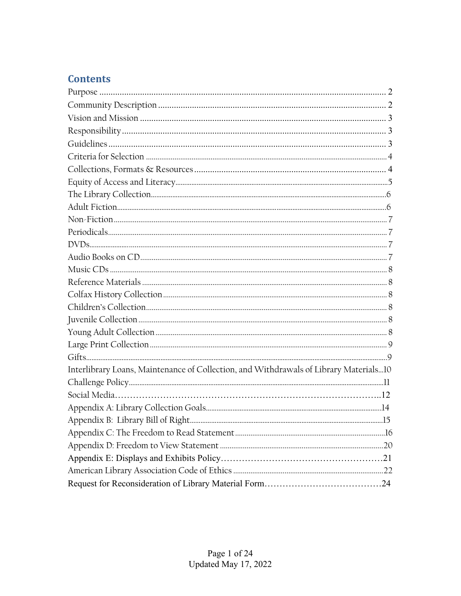# **Contents**

| Interlibrary Loans, Maintenance of Collection, and Withdrawals of Library Materials10 |  |
|---------------------------------------------------------------------------------------|--|
|                                                                                       |  |
|                                                                                       |  |
|                                                                                       |  |
|                                                                                       |  |
|                                                                                       |  |
|                                                                                       |  |
|                                                                                       |  |
|                                                                                       |  |
|                                                                                       |  |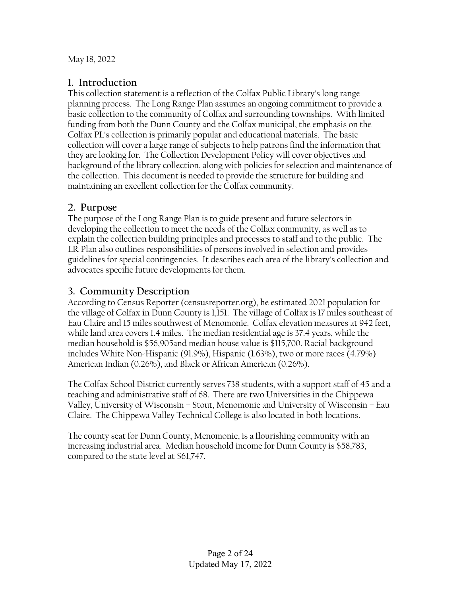# **1. Introduction**

This collection statement is a reflection of the Colfax Public Library's long range planning process. The Long Range Plan assumes an ongoing commitment to provide a basic collection to the community of Colfax and surrounding townships. With limited funding from both the Dunn County and the Colfax municipal, the emphasis on the Colfax PL's collection is primarily popular and educational materials. The basic collection will cover a large range of subjects to help patrons find the information that they are looking for. The Collection Development Policy will cover objectives and background of the library collection, along with policies for selection and maintenance of the collection. This document is needed to provide the structure for building and maintaining an excellent collection for the Colfax community.

# <span id="page-1-0"></span>**2. Purpose**

The purpose of the Long Range Plan is to guide present and future selectors in developing the collection to meet the needs of the Colfax community, as well as to explain the collection building principles and processes to staff and to the public. The LR Plan also outlines responsibilities of persons involved in selection and provides guidelines for special contingencies. It describes each area of the library's collection and advocates specific future developments for them.

# <span id="page-1-1"></span>**3. Community Description**

According to Census Reporter (censusreporter.org), he estimated 2021 population for the village of Colfax in Dunn County is 1,151. The village of Colfax is 17 miles southeast of Eau Claire and 15 miles southwest of Menomonie. Colfax elevation measures at 942 feet, while land area covers 1.4 miles. The median residential age is 37.4 years, while the median household is \$56,905and median house value is \$115,700. Racial background includes White Non-Hispanic (91.9%), Hispanic (1.63%), two or more races (4.79%) American Indian (0.26%), and Black or African American (0.26%).

The Colfax School District currently serves 738 students, with a support staff of 45 and a teaching and administrative staff of 68. There are two Universities in the Chippewa Valley, University of Wisconsin – Stout, Menomonie and University of Wisconsin – Eau Claire. The Chippewa Valley Technical College is also located in both locations.

The county seat for Dunn County, Menomonie, is a flourishing community with an increasing industrial area. Median household income for Dunn County is \$58,783, compared to the state level at \$61,747.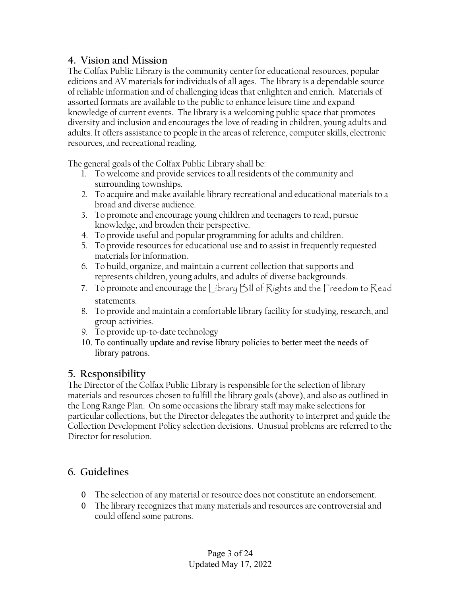# <span id="page-2-0"></span>**4. Vision and Mission**

The Colfax Public Library is the community center for educational resources, popular editions and AV materials for individuals of all ages. The library is a dependable source of reliable information and of challenging ideas that enlighten and enrich. Materials of assorted formats are available to the public to enhance leisure time and expand knowledge of current events. The library is a welcoming public space that promotes diversity and inclusion and encourages the love of reading in children, young adults and adults. It offers assistance to people in the areas of reference, computer skills, electronic resources, and recreational reading.

The general goals of the Colfax Public Library shall be:

- 1. To welcome and provide services to all residents of the community and surrounding townships.
- 2. To acquire and make available library recreational and educational materials to a broad and diverse audience.
- 3. To promote and encourage young children and teenagers to read, pursue knowledge, and broaden their perspective.
- 4. To provide useful and popular programming for adults and children.
- 5. To provide resources for educational use and to assist in frequently requested materials for information.
- 6. To build, organize, and maintain a current collection that supports and represents children, young adults, and adults of diverse backgrounds.
- 7. To promote and encourage the Library Bill of Rights and the Freedom to Read statements.
- 8. To provide and maintain a comfortable library facility for studying, research, and group activities.
- 9. To provide up-to-date technology
- 10. To continually update and revise library policies to better meet the needs of library patrons.

# <span id="page-2-1"></span>**5. Responsibility**

The Director of the Colfax Public Library is responsible for the selection of library materials and resources chosen to fulfill the library goals (above), and also as outlined in the Long Range Plan. On some occasions the library staff may make selections for particular collections, but the Director delegates the authority to interpret and guide the Collection Development Policy selection decisions. Unusual problems are referred to the Director for resolution.

# <span id="page-2-2"></span>**6. Guidelines**

- The selection of any material or resource does not constitute an endorsement.
- The library recognizes that many materials and resources are controversial and could offend some patrons.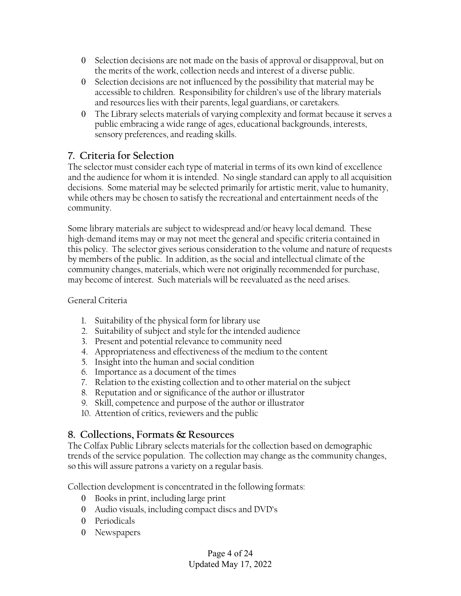- 0 Selection decisions are not made on the basis of approval or disapproval, but on the merits of the work, collection needs and interest of a diverse public.
- Selection decisions are not influenced by the possibility that material may be accessible to children. Responsibility for children's use of the library materials and resources lies with their parents, legal guardians, or caretakers.
- The Library selects materials of varying complexity and format because it serves a public embracing a wide range of ages, educational backgrounds, interests, sensory preferences, and reading skills.

# <span id="page-3-0"></span>**7. Criteria for Selection**

The selector must consider each type of material in terms of its own kind of excellence and the audience for whom it is intended. No single standard can apply to all acquisition decisions. Some material may be selected primarily for artistic merit, value to humanity, while others may be chosen to satisfy the recreational and entertainment needs of the community.

Some library materials are subject to widespread and/or heavy local demand. These high-demand items may or may not meet the general and specific criteria contained in this policy. The selector gives serious consideration to the volume and nature of requests by members of the public. In addition, as the social and intellectual climate of the community changes, materials, which were not originally recommended for purchase, may become of interest. Such materials will be reevaluated as the need arises.

### General Criteria

- 1. Suitability of the physical form for library use
- 2. Suitability of subject and style for the intended audience
- 3. Present and potential relevance to community need
- 4. Appropriateness and effectiveness of the medium to the content
- 5. Insight into the human and social condition
- 6. Importance as a document of the times
- 7. Relation to the existing collection and to other material on the subject
- 8. Reputation and or significance of the author or illustrator
- 9. Skill, competence and purpose of the author or illustrator
- 10. Attention of critics, reviewers and the public

# <span id="page-3-1"></span>**8. Collections, Formats & Resources**

The Colfax Public Library selects materials for the collection based on demographic trends of the service population. The collection may change as the community changes, so this will assure patrons a variety on a regular basis.

Collection development is concentrated in the following formats:

- 0 Books in print, including large print
- Audio visuals, including compact discs and DVD's
- 0 Periodicals
- 0 Newspapers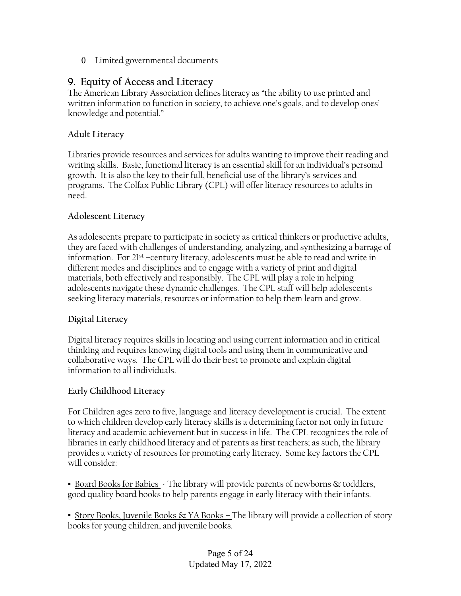Limited governmental documents

# **9. Equity of Access and Literacy**

The American Library Association defines literacy as "the ability to use printed and written information to function in society, to achieve one's goals, and to develop ones' knowledge and potential."

### **Adult Literacy**

Libraries provide resources and services for adults wanting to improve their reading and writing skills. Basic, functional literacy is an essential skill for an individual's personal growth. It is also the key to their full, beneficial use of the library's services and programs. The Colfax Public Library (CPL) will offer literacy resources to adults in need.

### **Adolescent Literacy**

As adolescents prepare to participate in society as critical thinkers or productive adults, they are faced with challenges of understanding, analyzing, and synthesizing a barrage of information. For  $21^{st}$  –century literacy, adolescents must be able to read and write in different modes and disciplines and to engage with a variety of print and digital materials, both effectively and responsibly. The CPL will play a role in helping adolescents navigate these dynamic challenges. The CPL staff will help adolescents seeking literacy materials, resources or information to help them learn and grow.

### **Digital Literacy**

Digital literacy requires skills in locating and using current information and in critical thinking and requires knowing digital tools and using them in communicative and collaborative ways. The CPL will do their best to promote and explain digital information to all individuals.

### **Early Childhood Literacy**

For Children ages zero to five, language and literacy development is crucial. The extent to which children develop early literacy skills is a determining factor not only in future literacy and academic achievement but in success in life. The CPL recognizes the role of libraries in early childhood literacy and of parents as first teachers; as such, the library provides a variety of resources for promoting early literacy. Some key factors the CPL will consider:

■ Board Books for Babies - The library will provide parents of newborns & toddlers, good quality board books to help parents engage in early literacy with their infants.

**• Story Books, Juvenile Books & YA Books – The library will provide a collection of story** books for young children, and juvenile books.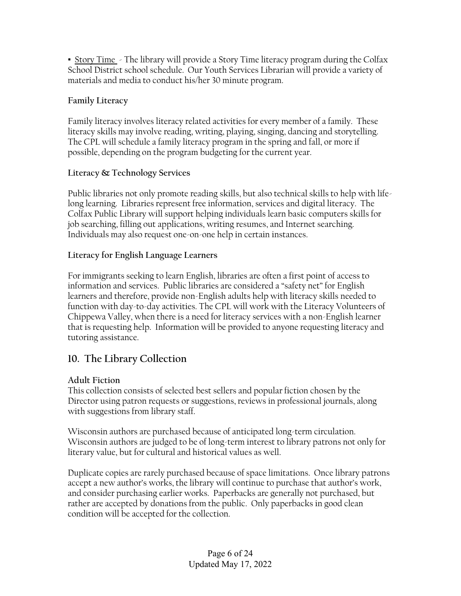• Story Time - The library will provide a Story Time literacy program during the Colfax School District school schedule. Our Youth Services Librarian will provide a variety of materials and media to conduct his/her 30 minute program.

## **Family Literacy**

Family literacy involves literacy related activities for every member of a family. These literacy skills may involve reading, writing, playing, singing, dancing and storytelling. The CPL will schedule a family literacy program in the spring and fall, or more if possible, depending on the program budgeting for the current year.

## **Literacy & Technology Services**

Public libraries not only promote reading skills, but also technical skills to help with lifelong learning. Libraries represent free information, services and digital literacy. The Colfax Public Library will support helping individuals learn basic computers skills for job searching, filling out applications, writing resumes, and Internet searching. Individuals may also request one-on-one help in certain instances.

# **Literacy for English Language Learners**

For immigrants seeking to learn English, libraries are often a first point of access to information and services. Public libraries are considered a "safety net" for English learners and therefore, provide non-English adults help with literacy skills needed to function with day-to-day activities. The CPL will work with the Literacy Volunteers of Chippewa Valley, when there is a need for literacy services with a non-English learner that is requesting help. Information will be provided to anyone requesting literacy and tutoring assistance.

# **10. The Library Collection**

## **Adult Fiction**

This collection consists of selected best sellers and popular fiction chosen by the Director using patron requests or suggestions, reviews in professional journals, along with suggestions from library staff.

Wisconsin authors are purchased because of anticipated long-term circulation. Wisconsin authors are judged to be of long-term interest to library patrons not only for literary value, but for cultural and historical values as well.

Duplicate copies are rarely purchased because of space limitations. Once library patrons accept a new author's works, the library will continue to purchase that author's work, and consider purchasing earlier works. Paperbacks are generally not purchased, but rather are accepted by donations from the public. Only paperbacks in good clean condition will be accepted for the collection.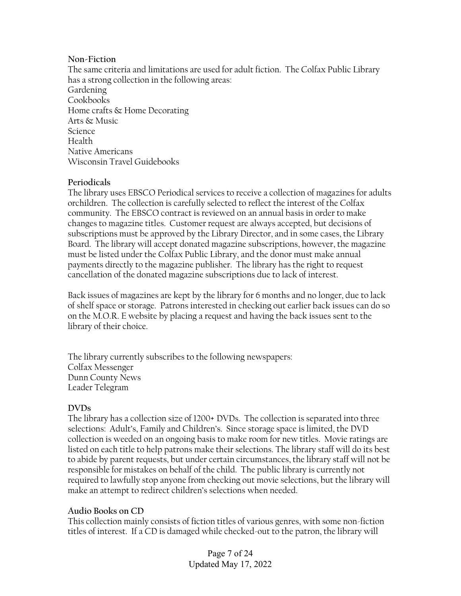#### <span id="page-6-0"></span>**Non-Fiction**

The same criteria and limitations are used for adult fiction. The Colfax Public Library has a strong collection in the following areas: Gardening Cookbooks Home crafts & Home Decorating Arts & Music Science Health Native Americans Wisconsin Travel Guidebooks

#### <span id="page-6-1"></span>**Periodicals**

The library uses EBSCO Periodical services to receive a collection of magazines for adults orchildren. The collection is carefully selected to reflect the interest of the Colfax community. The EBSCO contract is reviewed on an annual basis in order to make changes to magazine titles. Customer request are always accepted, but decisions of subscriptions must be approved by the Library Director, and in some cases, the Library Board. The library will accept donated magazine subscriptions, however, the magazine must be listed under the Colfax Public Library, and the donor must make annual payments directly to the magazine publisher. The library has the right to request cancellation of the donated magazine subscriptions due to lack of interest.

Back issues of magazines are kept by the library for 6 months and no longer, due to lack of shelf space or storage. Patrons interested in checking out earlier back issues can do so on the M.O.R. E website by placing a request and having the back issues sent to the library of their choice.

The library currently subscribes to the following newspapers: Colfax Messenger Dunn County News Leader Telegram

#### <span id="page-6-2"></span>**DVDs**

The library has a collection size of 1200+ DVDs. The collection is separated into three selections: Adult's, Family and Children's. Since storage space is limited, the DVD collection is weeded on an ongoing basis to make room for new titles. Movie ratings are listed on each title to help patrons make their selections. The library staff will do its best to abide by parent requests, but under certain circumstances, the library staff will not be responsible for mistakes on behalf of the child. The public library is currently not required to lawfully stop anyone from checking out movie selections, but the library will make an attempt to redirect children's selections when needed.

#### <span id="page-6-3"></span>**Audio Books on CD**

This collection mainly consists of fiction titles of various genres, with some non-fiction titles of interest. If a CD is damaged while checked-out to the patron, the library will

> Page 7 of 24 Updated May 17, 2022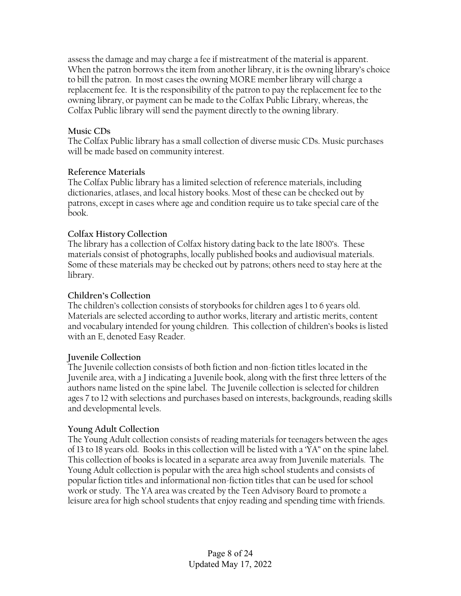assess the damage and may charge a fee if mistreatment of the material is apparent. When the patron borrows the item from another library, it is the owning library's choice to bill the patron. In most cases the owning MORE member library will charge a replacement fee. It is the responsibility of the patron to pay the replacement fee to the owning library, or payment can be made to the Colfax Public Library, whereas, the Colfax Public library will send the payment directly to the owning library.

#### <span id="page-7-0"></span>**Music CDs**

The Colfax Public library has a small collection of diverse music CDs. Music purchases will be made based on community interest.

#### <span id="page-7-1"></span>**Reference Materials**

The Colfax Public library has a limited selection of reference materials, including dictionaries, atlases, and local history books. Most of these can be checked out by patrons, except in cases where age and condition require us to take special care of the book.

#### <span id="page-7-2"></span>**Colfax History Collection**

The library has a collection of Colfax history dating back to the late 1800's. These materials consist of photographs, locally published books and audiovisual materials. Some of these materials may be checked out by patrons; others need to stay here at the library.

#### <span id="page-7-3"></span>**Children's Collection**

The children's collection consists of storybooks for children ages 1 to 6 years old. Materials are selected according to author works, literary and artistic merits, content and vocabulary intended for young children. This collection of children's books is listed with an E, denoted Easy Reader.

#### <span id="page-7-4"></span>**Juvenile Collection**

The Juvenile collection consists of both fiction and non-fiction titles located in the Juvenile area, with a J indicating a Juvenile book, along with the first three letters of the authors name listed on the spine label. The Juvenile collection is selected for children ages 7 to 12 with selections and purchases based on interests, backgrounds, reading skills and developmental levels.

#### <span id="page-7-5"></span>**Young Adult Collection**

The Young Adult collection consists of reading materials for teenagers between the ages of 13 to 18 years old. Books in this collection will be listed with a 'YA" on the spine label. This collection of books is located in a separate area away from Juvenile materials. The Young Adult collection is popular with the area high school students and consists of popular fiction titles and informational non-fiction titles that can be used for school work or study. The YA area was created by the Teen Advisory Board to promote a leisure area for high school students that enjoy reading and spending time with friends.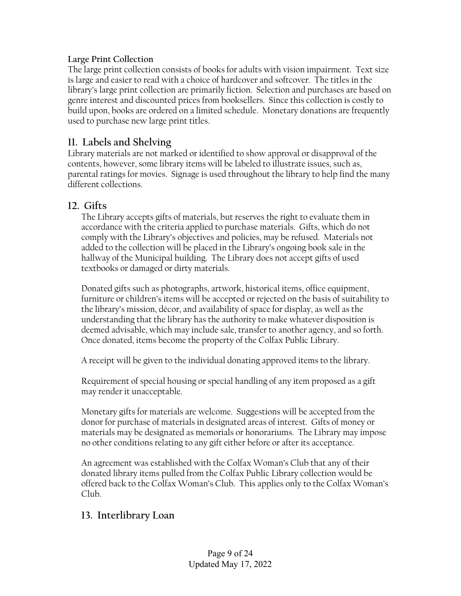### <span id="page-8-0"></span>**Large Print Collection**

The large print collection consists of books for adults with vision impairment. Text size is large and easier to read with a choice of hardcover and softcover. The titles in the library's large print collection are primarily fiction. Selection and purchases are based on genre interest and discounted prices from booksellers. Since this collection is costly to build upon, books are ordered on a limited schedule. Monetary donations are frequently used to purchase new large print titles.

# **11. Labels and Shelving**

Library materials are not marked or identified to show approval or disapproval of the contents, however, some library items will be labeled to illustrate issues, such as, parental ratings for movies. Signage is used throughout the library to help find the many different collections.

## **12. Gifts**

The Library accepts gifts of materials, but reserves the right to evaluate them in accordance with the criteria applied to purchase materials. Gifts, which do not comply with the Library's objectives and policies, may be refused. Materials not added to the collection will be placed in the Library's ongoing book sale in the hallway of the Municipal building. The Library does not accept gifts of used textbooks or damaged or dirty materials.

Donated gifts such as photographs, artwork, historical items, office equipment, furniture or children's items will be accepted or rejected on the basis of suitability to the library's mission, décor, and availability of space for display, as well as the understanding that the library has the authority to make whatever disposition is deemed advisable, which may include sale, transfer to another agency, and so forth. Once donated, items become the property of the Colfax Public Library.

A receipt will be given to the individual donating approved items to the library.

Requirement of special housing or special handling of any item proposed as a gift may render it unacceptable.

Monetary gifts for materials are welcome. Suggestions will be accepted from the donor for purchase of materials in designated areas of interest. Gifts of money or materials may be designated as memorials or honorariums. The Library may impose no other conditions relating to any gift either before or after its acceptance.

An agreement was established with the Colfax Woman's Club that any of their donated library items pulled from the Colfax Public Library collection would be offered back to the Colfax Woman's Club. This applies only to the Colfax Woman's Club.

## **13. Interlibrary Loan**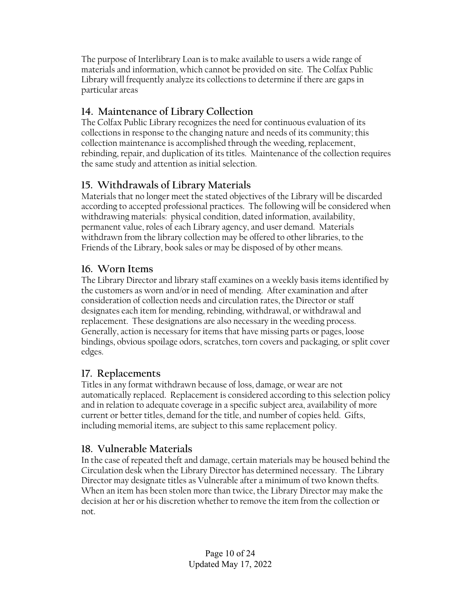The purpose of Interlibrary Loan is to make available to users a wide range of materials and information, which cannot be provided on site. The Colfax Public Library will frequently analyze its collections to determine if there are gaps in particular areas

# **14. Maintenance of Library Collection**

The Colfax Public Library recognizes the need for continuous evaluation of its collections in response to the changing nature and needs of its community; this collection maintenance is accomplished through the weeding, replacement, rebinding, repair, and duplication of its titles. Maintenance of the collection requires the same study and attention as initial selection.

# **15. Withdrawals of Library Materials**

Materials that no longer meet the stated objectives of the Library will be discarded according to accepted professional practices. The following will be considered when withdrawing materials: physical condition, dated information, availability, permanent value, roles of each Library agency, and user demand. Materials withdrawn from the library collection may be offered to other libraries, to the Friends of the Library, book sales or may be disposed of by other means.

# **16. Worn Items**

The Library Director and library staff examines on a weekly basis items identified by the customers as worn and/or in need of mending. After examination and after consideration of collection needs and circulation rates, the Director or staff designates each item for mending, rebinding, withdrawal, or withdrawal and replacement. These designations are also necessary in the weeding process. Generally, action is necessary for items that have missing parts or pages, loose bindings, obvious spoilage odors, scratches, torn covers and packaging, or split cover edges.

## **17. Replacements**

Titles in any format withdrawn because of loss, damage, or wear are not automatically replaced. Replacement is considered according to this selection policy and in relation to adequate coverage in a specific subject area, availability of more current or better titles, demand for the title, and number of copies held. Gifts, including memorial items, are subject to this same replacement policy.

# **18. Vulnerable Materials**

In the case of repeated theft and damage, certain materials may be housed behind the Circulation desk when the Library Director has determined necessary. The Library Director may designate titles as Vulnerable after a minimum of two known thefts. When an item has been stolen more than twice, the Library Director may make the decision at her or his discretion whether to remove the item from the collection or not.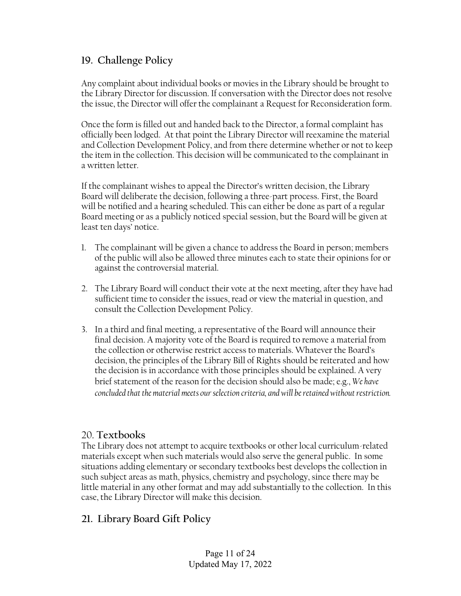# **19. Challenge Policy**

Any complaint about individual books or movies in the Library should be brought to the Library Director for discussion. If conversation with the Director does not resolve the issue, the Director will offer the complainant a Request for Reconsideration form.

Once the form is filled out and handed back to the Director, a formal complaint has officially been lodged. At that point the Library Director will reexamine the material and Collection Development Policy, and from there determine whether or not to keep the item in the collection. This decision will be communicated to the complainant in a written letter.

If the complainant wishes to appeal the Director's written decision, the Library Board will deliberate the decision, following a three-part process. First, the Board will be notified and a hearing scheduled. This can either be done as part of a regular Board meeting or as a publicly noticed special session, but the Board will be given at least ten days' notice.

- 1. The complainant will be given a chance to address the Board in person; members of the public will also be allowed three minutes each to state their opinions for or against the controversial material.
- 2. The Library Board will conduct their vote at the next meeting, after they have had sufficient time to consider the issues, read or view the material in question, and consult the Collection Development Policy.
- 3. In a third and final meeting, a representative of the Board will announce their final decision. A majority vote of the Board is required to remove a material from the collection or otherwise restrict access to materials. Whatever the Board's decision, the principles of the Library Bill of Rights should be reiterated and how the decision is in accordance with those principles should be explained. A very brief statement of the reason for the decision should also be made; e.g., *We have concluded that the material meets our selection criteria, and will be retained without restriction.*

## 20. **Textbooks**

The Library does not attempt to acquire textbooks or other local curriculum-related materials except when such materials would also serve the general public. In some situations adding elementary or secondary textbooks best develops the collection in such subject areas as math, physics, chemistry and psychology, since there may be little material in any other format and may add substantially to the collection. In this case, the Library Director will make this decision.

# **21. Library Board Gift Policy**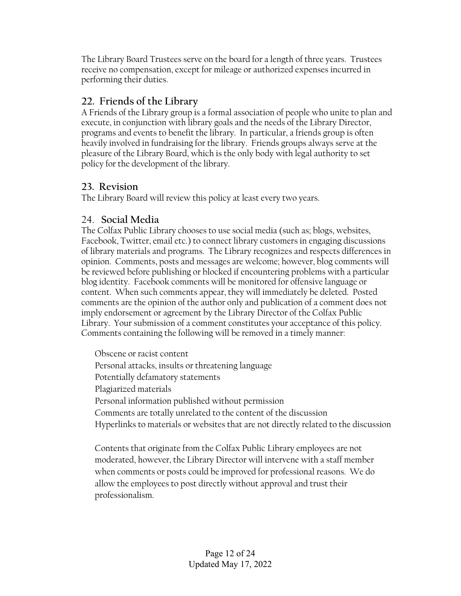The Library Board Trustees serve on the board for a length of three years. Trustees receive no compensation, except for mileage or authorized expenses incurred in performing their duties.

# **22. Friends of the Library**

A Friends of the Library group is a formal association of people who unite to plan and execute, in conjunction with library goals and the needs of the Library Director, programs and events to benefit the library. In particular, a friends group is often heavily involved in fundraising for the library. Friends groups always serve at the pleasure of the Library Board, which is the only body with legal authority to set policy for the development of the library.

# **23. Revision**

The Library Board will review this policy at least every two years.

# 24. **Social Media**

The Colfax Public Library chooses to use social media (such as; blogs, websites, Facebook, Twitter, email etc.) to connect library customers in engaging discussions of library materials and programs. The Library recognizes and respects differences in opinion. Comments, posts and messages are welcome; however, blog comments will be reviewed before publishing or blocked if encountering problems with a particular blog identity. Facebook comments will be monitored for offensive language or content. When such comments appear, they will immediately be deleted. Posted comments are the opinion of the author only and publication of a comment does not imply endorsement or agreement by the Library Director of the Colfax Public Library. Your submission of a comment constitutes your acceptance of this policy. Comments containing the following will be removed in a timely manner:

Obscene or racist content Personal attacks, insults or threatening language Potentially defamatory statements Plagiarized materials Personal information published without permission Comments are totally unrelated to the content of the discussion Hyperlinks to materials or websites that are not directly related to the discussion

Contents that originate from the Colfax Public Library employees are not moderated, however, the Library Director will intervene with a staff member when comments or posts could be improved for professional reasons. We do allow the employees to post directly without approval and trust their professionalism.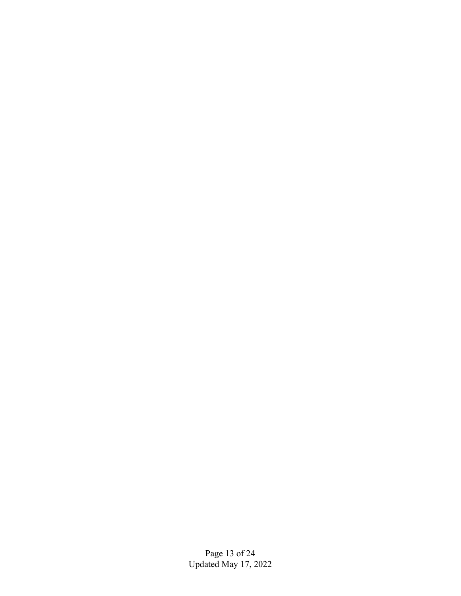Page 13 of 24 Updated May 17, 2022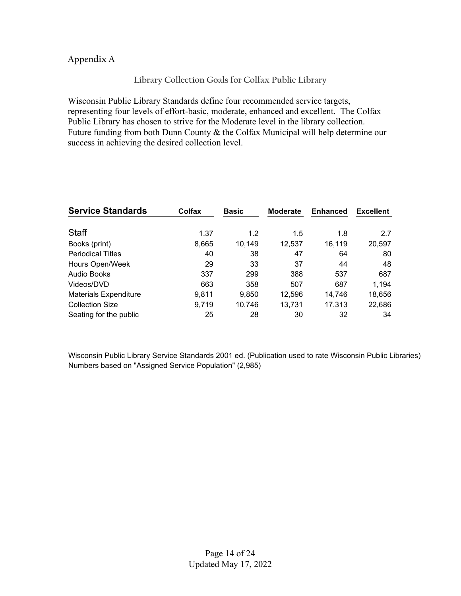#### **Appendix A**

#### **Library Collection Goals for Colfax Public Library**

Wisconsin Public Library Standards define four recommended service targets, representing four levels of effort-basic, moderate, enhanced and excellent. The Colfax Public Library has chosen to strive for the Moderate level in the library collection. Future funding from both Dunn County & the Colfax Municipal will help determine our success in achieving the desired collection level.

| <b>Service Standards</b>     | Colfax | <b>Basic</b> | <b>Moderate</b> | <b>Enhanced</b> | <b>Excellent</b> |
|------------------------------|--------|--------------|-----------------|-----------------|------------------|
| <b>Staff</b>                 | 1.37   | 1.2          | 1.5             | 1.8             | 2.7              |
| Books (print)                | 8,665  | 10,149       | 12,537          | 16,119          | 20,597           |
| <b>Periodical Titles</b>     | 40     | 38           | 47              | 64              | 80               |
| Hours Open/Week              | 29     | 33           | 37              | 44              | 48               |
| Audio Books                  | 337    | 299          | 388             | 537             | 687              |
| Videos/DVD                   | 663    | 358          | 507             | 687             | 1,194            |
| <b>Materials Expenditure</b> | 9,811  | 9,850        | 12,596          | 14,746          | 18,656           |
| <b>Collection Size</b>       | 9,719  | 10,746       | 13,731          | 17,313          | 22,686           |
| Seating for the public       | 25     | 28           | 30              | 32              | 34               |

Wisconsin Public Library Service Standards 2001 ed. (Publication used to rate Wisconsin Public Libraries) Numbers based on "Assigned Service Population" (2,985)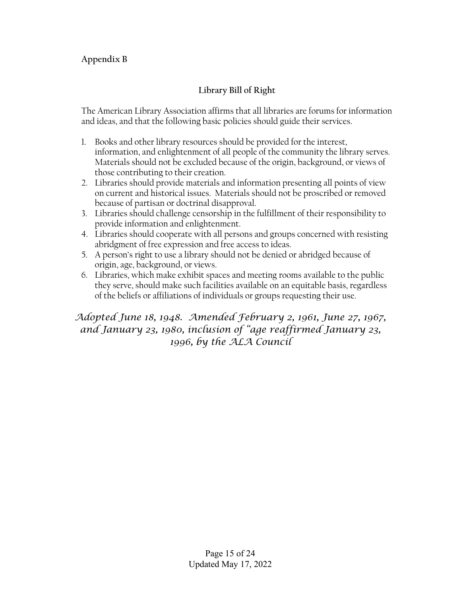# **Appendix B**

# **Library Bill of Right**

The American Library Association affirms that all libraries are forums for information and ideas, and that the following basic policies should guide their services.

- 1. Books and other library resources should be provided for the interest, information, and enlightenment of all people of the community the library serves. Materials should not be excluded because of the origin, background, or views of those contributing to their creation.
- 2. Libraries should provide materials and information presenting all points of view on current and historical issues. Materials should not be proscribed or removed because of partisan or doctrinal disapproval.
- 3. Libraries should challenge censorship in the fulfillment of their responsibility to provide information and enlightenment.
- 4. Libraries should cooperate with all persons and groups concerned with resisting abridgment of free expression and free access to ideas.
- 5. A person's right to use a library should not be denied or abridged because of origin, age, background, or views.
- 6. Libraries, which make exhibit spaces and meeting rooms available to the public they serve, should make such facilities available on an equitable basis, regardless of the beliefs or affiliations of individuals or groups requesting their use.

# *Adopted June 18, 1948. Amended February 2, 1961, June 27, 1967, and January 23, 1980, inclusion of "age reaffirmed January 23, 1996, by the ALA Council*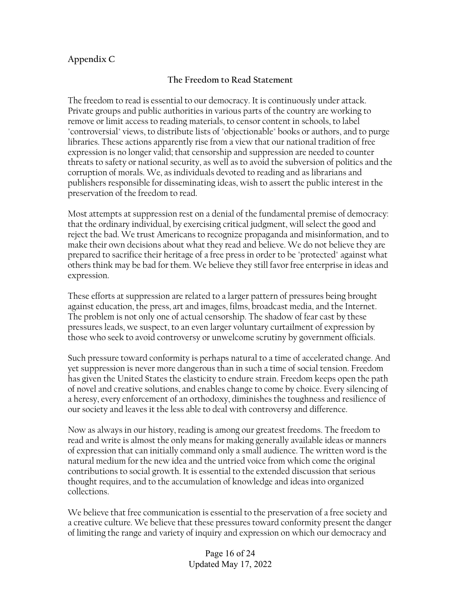#### <span id="page-15-0"></span>**Appendix C**

#### **The Freedom to Read Statement**

<span id="page-15-1"></span>The freedom to read is essential to our democracy. It is continuously under attack. Private groups and public authorities in various parts of the country are working to remove or limit access to reading materials, to censor content in schools, to label "controversial" views, to distribute lists of "objectionable" books or authors, and to purge libraries. These actions apparently rise from a view that our national tradition of free expression is no longer valid; that censorship and suppression are needed to counter threats to safety or national security, as well as to avoid the subversion of politics and the corruption of morals. We, as individuals devoted to reading and as librarians and publishers responsible for disseminating ideas, wish to assert the public interest in the preservation of the freedom to read.

Most attempts at suppression rest on a denial of the fundamental premise of democracy: that the ordinary individual, by exercising critical judgment, will select the good and reject the bad. We trust Americans to recognize propaganda and misinformation, and to make their own decisions about what they read and believe. We do not believe they are prepared to sacrifice their heritage of a free press in order to be "protected" against what others think may be bad for them. We believe they still favor free enterprise in ideas and expression.

These efforts at suppression are related to a larger pattern of pressures being brought against education, the press, art and images, films, broadcast media, and the Internet. The problem is not only one of actual censorship. The shadow of fear cast by these pressures leads, we suspect, to an even larger voluntary curtailment of expression by those who seek to avoid controversy or unwelcome scrutiny by government officials.

Such pressure toward conformity is perhaps natural to a time of accelerated change. And yet suppression is never more dangerous than in such a time of social tension. Freedom has given the United States the elasticity to endure strain. Freedom keeps open the path of novel and creative solutions, and enables change to come by choice. Every silencing of a heresy, every enforcement of an orthodoxy, diminishes the toughness and resilience of our society and leaves it the less able to deal with controversy and difference.

Now as always in our history, reading is among our greatest freedoms. The freedom to read and write is almost the only means for making generally available ideas or manners of expression that can initially command only a small audience. The written word is the natural medium for the new idea and the untried voice from which come the original contributions to social growth. It is essential to the extended discussion that serious thought requires, and to the accumulation of knowledge and ideas into organized collections.

We believe that free communication is essential to the preservation of a free society and a creative culture. We believe that these pressures toward conformity present the danger of limiting the range and variety of inquiry and expression on which our democracy and

> Page 16 of 24 Updated May 17, 2022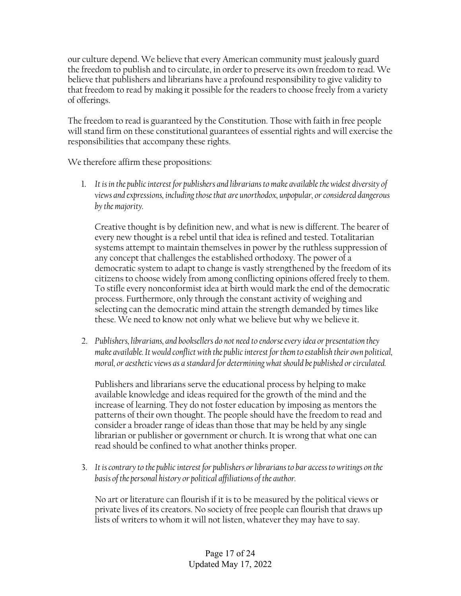our culture depend. We believe that every American community must jealously guard the freedom to publish and to circulate, in order to preserve its own freedom to read. We believe that publishers and librarians have a profound responsibility to give validity to that freedom to read by making it possible for the readers to choose freely from a variety of offerings.

The freedom to read is guaranteed by the Constitution. Those with faith in free people will stand firm on these constitutional guarantees of essential rights and will exercise the responsibilities that accompany these rights.

We therefore affirm these propositions:

1. *It is in the public interest for publishers and librarians to make available the widest diversity of views and expressions, including those that are unorthodox, unpopular, or considered dangerous by the majority.*

Creative thought is by definition new, and what is new is different. The bearer of every new thought is a rebel until that idea is refined and tested. Totalitarian systems attempt to maintain themselves in power by the ruthless suppression of any concept that challenges the established orthodoxy. The power of a democratic system to adapt to change is vastly strengthened by the freedom of its citizens to choose widely from among conflicting opinions offered freely to them. To stifle every nonconformist idea at birth would mark the end of the democratic process. Furthermore, only through the constant activity of weighing and selecting can the democratic mind attain the strength demanded by times like these. We need to know not only what we believe but why we believe it.

2. *Publishers, librarians, and booksellers do not need to endorse every idea or presentation they make available. It would conflict with the public interest for them to establish their own political, moral, or aesthetic views as a standard for determining what should be published or circulated.*

Publishers and librarians serve the educational process by helping to make available knowledge and ideas required for the growth of the mind and the increase of learning. They do not foster education by imposing as mentors the patterns of their own thought. The people should have the freedom to read and consider a broader range of ideas than those that may be held by any single librarian or publisher or government or church. It is wrong that what one can read should be confined to what another thinks proper.

3. *It is contrary to the public interest for publishers or librarians to bar access to writings on the basis of the personal history or political affiliations of the author.*

No art or literature can flourish if it is to be measured by the political views or private lives of its creators. No society of free people can flourish that draws up lists of writers to whom it will not listen, whatever they may have to say.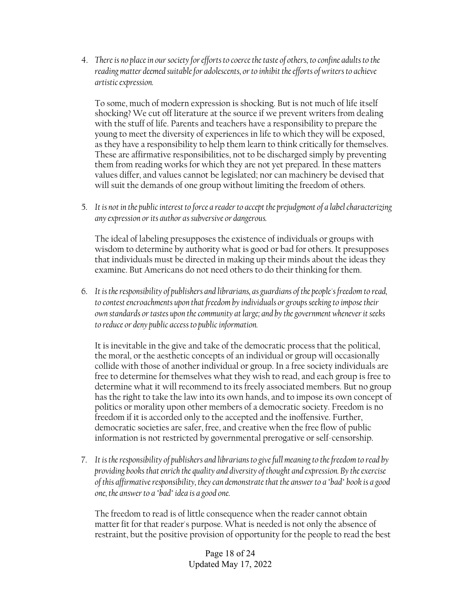4. *There is no place in our society for efforts to coerce the taste of others, to confine adults to the reading matter deemed suitable for adolescents, or to inhibit the efforts of writers to achieve artistic expression.*

To some, much of modern expression is shocking. But is not much of life itself shocking? We cut off literature at the source if we prevent writers from dealing with the stuff of life. Parents and teachers have a responsibility to prepare the young to meet the diversity of experiences in life to which they will be exposed, as they have a responsibility to help them learn to think critically for themselves. These are affirmative responsibilities, not to be discharged simply by preventing them from reading works for which they are not yet prepared. In these matters values differ, and values cannot be legislated; nor can machinery be devised that will suit the demands of one group without limiting the freedom of others.

5. *It is not in the public interest to force a reader to accept the prejudgment of a label characterizing any expression or its author as subversive or dangerous.*

The ideal of labeling presupposes the existence of individuals or groups with wisdom to determine by authority what is good or bad for others. It presupposes that individuals must be directed in making up their minds about the ideas they examine. But Americans do not need others to do their thinking for them.

6. *It is the responsibility of publishers and librarians, as guardians of the people's freedom to read, to contest encroachments upon that freedom by individuals or groups seeking to impose their own standards or tastes upon the community at large; and by the government whenever it seeks to reduce or deny public access to public information.*

It is inevitable in the give and take of the democratic process that the political, the moral, or the aesthetic concepts of an individual or group will occasionally collide with those of another individual or group. In a free society individuals are free to determine for themselves what they wish to read, and each group is free to determine what it will recommend to its freely associated members. But no group has the right to take the law into its own hands, and to impose its own concept of politics or morality upon other members of a democratic society. Freedom is no freedom if it is accorded only to the accepted and the inoffensive. Further, democratic societies are safer, free, and creative when the free flow of public information is not restricted by governmental prerogative or self-censorship.

7. *It is the responsibility of publishers and librarians to give full meaning to the freedom to read by providing books that enrich the quality and diversity of thought and expression. By the exercise of this affirmative responsibility, they can demonstrate that the answer to a "bad" book is a good one, the answer to a "bad" idea is a good one.*

The freedom to read is of little consequence when the reader cannot obtain matter fit for that reader's purpose. What is needed is not only the absence of restraint, but the positive provision of opportunity for the people to read the best

> Page 18 of 24 Updated May 17, 2022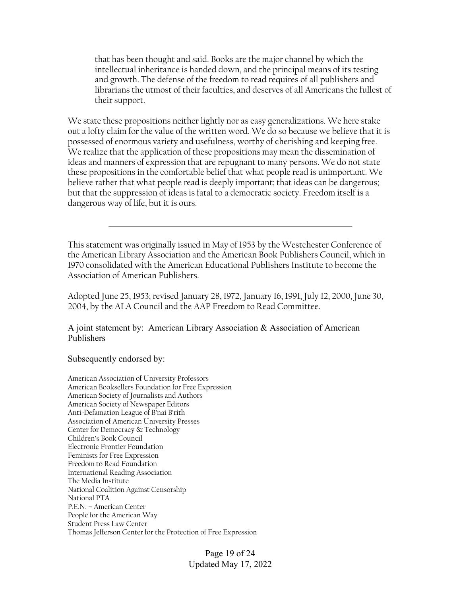that has been thought and said. Books are the major channel by which the intellectual inheritance is handed down, and the principal means of its testing and growth. The defense of the freedom to read requires of all publishers and librarians the utmost of their faculties, and deserves of all Americans the fullest of their support.

We state these propositions neither lightly nor as easy generalizations. We here stake out a lofty claim for the value of the written word. We do so because we believe that it is possessed of enormous variety and usefulness, worthy of cherishing and keeping free. We realize that the application of these propositions may mean the dissemination of ideas and manners of expression that are repugnant to many persons. We do not state these propositions in the comfortable belief that what people read is unimportant. We believe rather that what people read is deeply important; that ideas can be dangerous; but that the suppression of ideas is fatal to a democratic society. Freedom itself is a dangerous way of life, but it is ours.

This statement was originally issued in May of 1953 by the Westchester Conference of the American Library Association and the American Book Publishers Council, which in 1970 consolidated with the American Educational Publishers Institute to become the Association of American Publishers.

Adopted June 25, 1953; revised January 28, 1972, January 16, 1991, July 12, 2000, June 30, 2004, by the ALA Council and the AAP Freedom to Read Committee.

A joint statement by: American Library Association & Association of American Publishers

Subsequently endorsed by:

American Association of University Professors American Booksellers Foundation for Free Expression American Society of Journalists and Authors American Society of Newspaper Editors Anti-Defamation League of B'nai B'rith Association of American University Presses Center for Democracy & Technology Children's Book Council Electronic Frontier Foundation Feminists for Free Expression Freedom to Read Foundation International Reading Association The Media Institute National Coalition Against Censorship National PTA P.E.N. – American Center People for the American Way Student Press Law Center Thomas Jefferson Center for the Protection of Free Expression

> Page 19 of 24 Updated May 17, 2022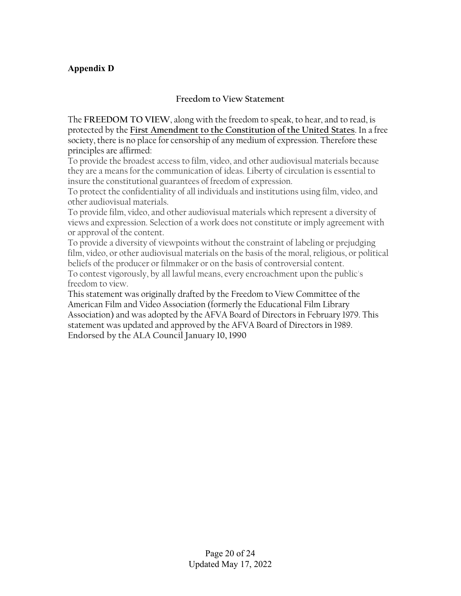### <span id="page-19-0"></span>**Appendix D**

#### **Freedom to View Statement**

The **FREEDOM TO VIEW**, along with the freedom to speak, to hear, and to read, is protected by the **[First Amendment to the Constitution of the United States](http://www.ala.org/ala/oif/firstamendment/firstamendment.htm)**. In a free society, there is no place for censorship of any medium of expression. Therefore these principles are affirmed:

To provide the broadest access to film, video, and other audiovisual materials because they are a means for the communication of ideas. Liberty of circulation is essential to insure the constitutional guarantees of freedom of expression.

To protect the confidentiality of all individuals and institutions using film, video, and other audiovisual materials.

To provide film, video, and other audiovisual materials which represent a diversity of views and expression. Selection of a work does not constitute or imply agreement with or approval of the content.

To provide a diversity of viewpoints without the constraint of labeling or prejudging film, video, or other audiovisual materials on the basis of the moral, religious, or political beliefs of the producer or filmmaker or on the basis of controversial content.

To contest vigorously, by all lawful means, every encroachment upon the public's freedom to view.

This statement was originally drafted by the Freedom to View Committee of the American Film and Video Association (formerly the Educational Film Library Association) and was adopted by the AFVA Board of Directors in February 1979. This statement was updated and approved by the AFVA Board of Directors in 1989. **Endorsed by the ALA Council January 10, 1990**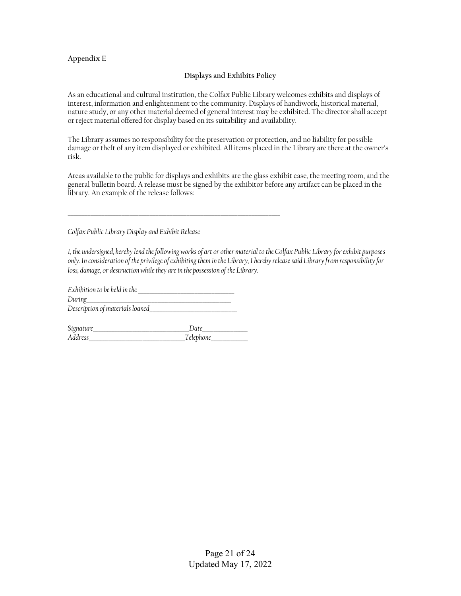#### **Appendix E**

#### **Displays and Exhibits Policy**

As an educational and cultural institution, the Colfax Public Library welcomes exhibits and displays of interest, information and enlightenment to the community. Displays of handiwork, historical material, nature study, or any other material deemed of general interest may be exhibited. The director shall accept or reject material offered for display based on its suitability and availability.

The Library assumes no responsibility for the preservation or protection, and no liability for possible damage or theft of any item displayed or exhibited. All items placed in the Library are there at the owner's risk.

Areas available to the public for displays and exhibits are the glass exhibit case, the meeting room, and the general bulletin board. A release must be signed by the exhibitor before any artifact can be placed in the library. An example of the release follows:

*Colfax Public Library Display and Exhibit Release* 

*I, the undersigned, hereby lend the following works of art or other material to the Colfax Public Library for exhibit purposes only. In consideration of the privilege of exhibiting them in the Library, I hereby release said Library from responsibility for loss, damage, or destruction while they are in the possession of the Library.* 

| Exhibition to be held in the    |  |
|---------------------------------|--|
| During                          |  |
| Description of materials loaned |  |

\_\_\_\_\_\_\_\_\_\_\_\_\_\_\_\_\_\_\_\_\_\_\_\_\_\_\_\_\_\_\_\_\_\_\_\_\_\_\_\_\_\_\_\_\_\_\_\_\_\_\_\_\_\_\_\_\_\_\_\_\_\_\_\_\_\_\_\_\_\_\_\_\_\_\_

| Signature_ |                                          |
|------------|------------------------------------------|
| Address    | $T_{\mathcal{O}} _{\mathcal{O}}$<br>none |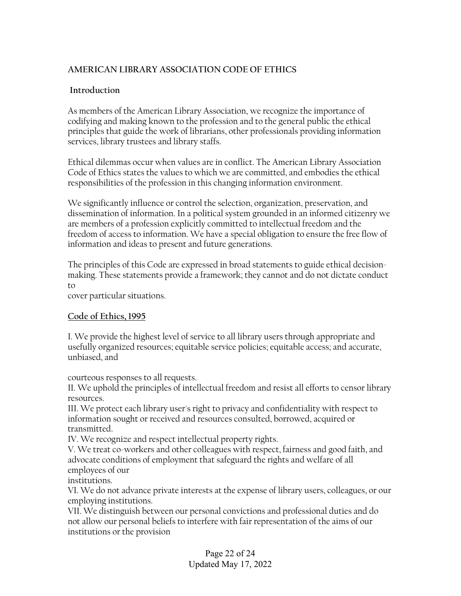### <span id="page-21-0"></span>**AMERICAN LIBRARY ASSOCIATION CODE OF ETHICS**

#### **Introduction**

As members of the American Library Association, we recognize the importance of codifying and making known to the profession and to the general public the ethical principles that guide the work of librarians, other professionals providing information services, library trustees and library staffs.

Ethical dilemmas occur when values are in conflict. The American Library Association Code of Ethics states the values to which we are committed, and embodies the ethical responsibilities of the profession in this changing information environment.

We significantly influence or control the selection, organization, preservation, and dissemination of information. In a political system grounded in an informed citizenry we are members of a profession explicitly committed to intellectual freedom and the freedom of access to information. We have a special obligation to ensure the free flow of information and ideas to present and future generations.

The principles of this Code are expressed in broad statements to guide ethical decisionmaking. These statements provide a framework; they cannot and do not dictate conduct to

cover particular situations.

### **Code of Ethics, 1995**

I. We provide the highest level of service to all library users through appropriate and usefully organized resources; equitable service policies; equitable access; and accurate, unbiased, and

courteous responses to all requests.

II. We uphold the principles of intellectual freedom and resist all efforts to censor library resources.

III. We protect each library user's right to privacy and confidentiality with respect to information sought or received and resources consulted, borrowed, acquired or transmitted.

IV. We recognize and respect intellectual property rights.

V. We treat co-workers and other colleagues with respect, fairness and good faith, and advocate conditions of employment that safeguard the rights and welfare of all employees of our

institutions.

VI. We do not advance private interests at the expense of library users, colleagues, or our employing institutions.

VII. We distinguish between our personal convictions and professional duties and do not allow our personal beliefs to interfere with fair representation of the aims of our institutions or the provision

> Page 22 of 24 Updated May 17, 2022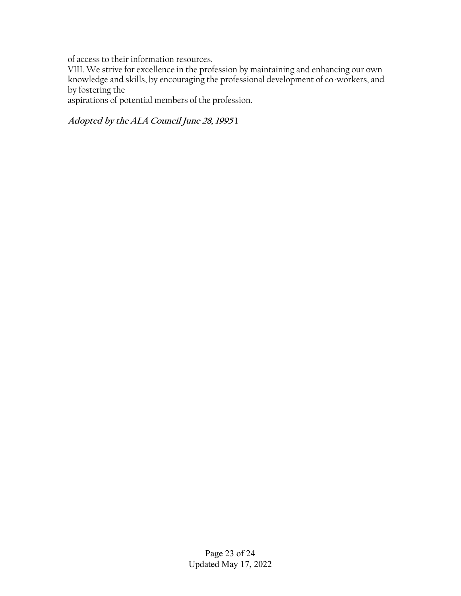of access to their information resources.

VIII. We strive for excellence in the profession by maintaining and enhancing our own knowledge and skills, by encouraging the professional development of co-workers, and by fostering the

aspirations of potential members of the profession.

**Adopted by the ALA Council June 28, 1995 1**